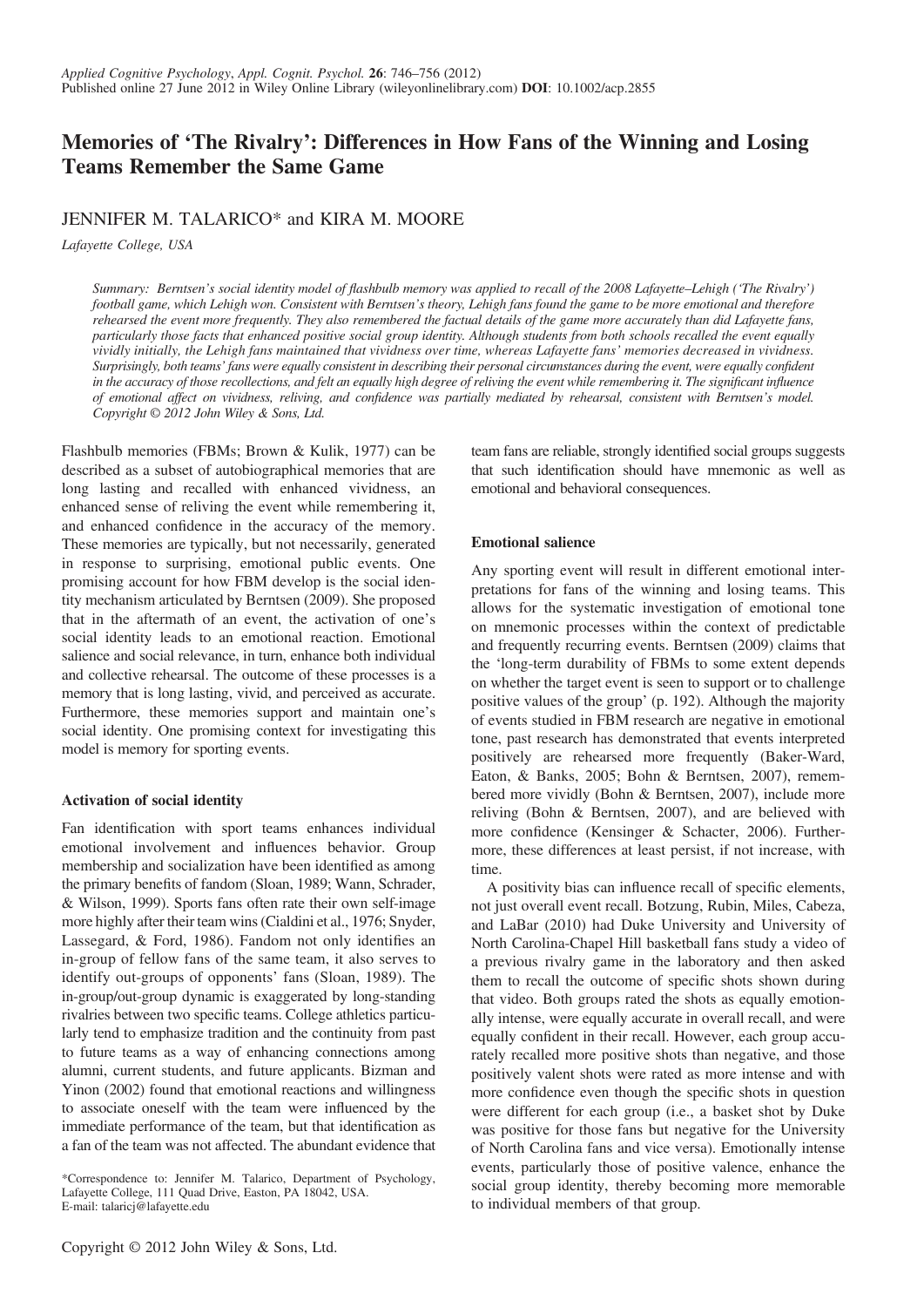# Memories of 'The Rivalry': Differences in How Fans of the Winning and Losing Teams Remember the Same Game

# JENNIFER M. TALARICO\* and KIRA M. MOORE

Lafayette College, USA

Summary: Berntsen's social identity model of flashbulb memory was applied to recall of the 2008 Lafayette–Lehigh ('The Rivalry') football game, which Lehigh won. Consistent with Berntsen's theory, Lehigh fans found the game to be more emotional and therefore rehearsed the event more frequently. They also remembered the factual details of the game more accurately than did Lafayette fans, particularly those facts that enhanced positive social group identity. Although students from both schools recalled the event equally vividly initially, the Lehigh fans maintained that vividness over time, whereas Lafayette fans' memories decreased in vividness. Surprisingly, both teams' fans were equally consistent in describing their personal circumstances during the event, were equally confident in the accuracy of those recollections, and felt an equally high degree of reliving the event while remembering it. The significant influence of emotional affect on vividness, reliving, and confidence was partially mediated by rehearsal, consistent with Berntsen's model. Copyright © 2012 John Wiley & Sons, Ltd.

Flashbulb memories (FBMs; Brown & Kulik, 1977) can be described as a subset of autobiographical memories that are long lasting and recalled with enhanced vividness, an enhanced sense of reliving the event while remembering it, and enhanced confidence in the accuracy of the memory. These memories are typically, but not necessarily, generated in response to surprising, emotional public events. One promising account for how FBM develop is the social identity mechanism articulated by Berntsen (2009). She proposed that in the aftermath of an event, the activation of one's social identity leads to an emotional reaction. Emotional salience and social relevance, in turn, enhance both individual and collective rehearsal. The outcome of these processes is a memory that is long lasting, vivid, and perceived as accurate. Furthermore, these memories support and maintain one's social identity. One promising context for investigating this model is memory for sporting events.

# Activation of social identity

Fan identification with sport teams enhances individual emotional involvement and influences behavior. Group membership and socialization have been identified as among the primary benefits of fandom (Sloan, 1989; Wann, Schrader, & Wilson, 1999). Sports fans often rate their own self-image more highly after their team wins (Cialdini et al., 1976; Snyder, Lassegard, & Ford, 1986). Fandom not only identifies an in-group of fellow fans of the same team, it also serves to identify out-groups of opponents' fans (Sloan, 1989). The in-group/out-group dynamic is exaggerated by long-standing rivalries between two specific teams. College athletics particularly tend to emphasize tradition and the continuity from past to future teams as a way of enhancing connections among alumni, current students, and future applicants. Bizman and Yinon (2002) found that emotional reactions and willingness to associate oneself with the team were influenced by the immediate performance of the team, but that identification as a fan of the team was not affected. The abundant evidence that

team fans are reliable, strongly identified social groups suggests that such identification should have mnemonic as well as emotional and behavioral consequences.

# Emotional salience

Any sporting event will result in different emotional interpretations for fans of the winning and losing teams. This allows for the systematic investigation of emotional tone on mnemonic processes within the context of predictable and frequently recurring events. Berntsen (2009) claims that the 'long-term durability of FBMs to some extent depends on whether the target event is seen to support or to challenge positive values of the group' (p. 192). Although the majority of events studied in FBM research are negative in emotional tone, past research has demonstrated that events interpreted positively are rehearsed more frequently (Baker-Ward, Eaton, & Banks, 2005; Bohn & Berntsen, 2007), remembered more vividly (Bohn & Berntsen, 2007), include more reliving (Bohn & Berntsen, 2007), and are believed with more confidence (Kensinger & Schacter, 2006). Furthermore, these differences at least persist, if not increase, with time.

A positivity bias can influence recall of specific elements, not just overall event recall. Botzung, Rubin, Miles, Cabeza, and LaBar (2010) had Duke University and University of North Carolina-Chapel Hill basketball fans study a video of a previous rivalry game in the laboratory and then asked them to recall the outcome of specific shots shown during that video. Both groups rated the shots as equally emotionally intense, were equally accurate in overall recall, and were equally confident in their recall. However, each group accurately recalled more positive shots than negative, and those positively valent shots were rated as more intense and with more confidence even though the specific shots in question were different for each group (i.e., a basket shot by Duke was positive for those fans but negative for the University of North Carolina fans and vice versa). Emotionally intense events, particularly those of positive valence, enhance the social group identity, thereby becoming more memorable to individual members of that group.

<sup>\*</sup>Correspondence to: Jennifer M. Talarico, Department of Psychology, Lafayette College, 111 Quad Drive, Easton, PA 18042, USA. E-mail: talaricj@lafayette.edu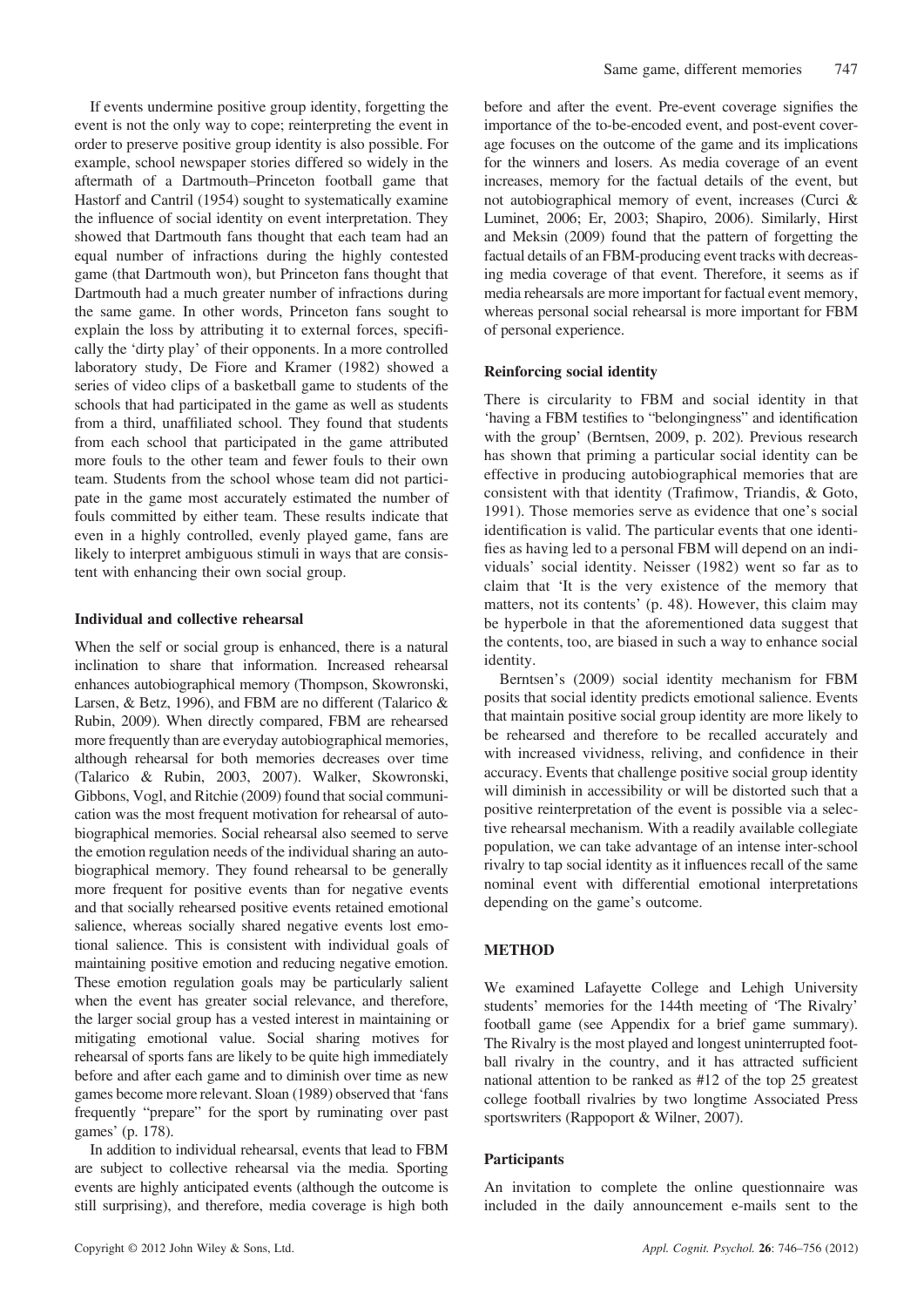If events undermine positive group identity, forgetting the event is not the only way to cope; reinterpreting the event in order to preserve positive group identity is also possible. For example, school newspaper stories differed so widely in the aftermath of a Dartmouth–Princeton football game that Hastorf and Cantril (1954) sought to systematically examine the influence of social identity on event interpretation. They showed that Dartmouth fans thought that each team had an equal number of infractions during the highly contested game (that Dartmouth won), but Princeton fans thought that Dartmouth had a much greater number of infractions during the same game. In other words, Princeton fans sought to explain the loss by attributing it to external forces, specifically the 'dirty play' of their opponents. In a more controlled laboratory study, De Fiore and Kramer (1982) showed a series of video clips of a basketball game to students of the schools that had participated in the game as well as students from a third, unaffiliated school. They found that students from each school that participated in the game attributed more fouls to the other team and fewer fouls to their own team. Students from the school whose team did not participate in the game most accurately estimated the number of fouls committed by either team. These results indicate that even in a highly controlled, evenly played game, fans are likely to interpret ambiguous stimuli in ways that are consistent with enhancing their own social group.

# Individual and collective rehearsal

When the self or social group is enhanced, there is a natural inclination to share that information. Increased rehearsal enhances autobiographical memory (Thompson, Skowronski, Larsen, & Betz, 1996), and FBM are no different (Talarico & Rubin, 2009). When directly compared, FBM are rehearsed more frequently than are everyday autobiographical memories, although rehearsal for both memories decreases over time (Talarico & Rubin, 2003, 2007). Walker, Skowronski, Gibbons, Vogl, and Ritchie (2009) found that social communication was the most frequent motivation for rehearsal of autobiographical memories. Social rehearsal also seemed to serve the emotion regulation needs of the individual sharing an autobiographical memory. They found rehearsal to be generally more frequent for positive events than for negative events and that socially rehearsed positive events retained emotional salience, whereas socially shared negative events lost emotional salience. This is consistent with individual goals of maintaining positive emotion and reducing negative emotion. These emotion regulation goals may be particularly salient when the event has greater social relevance, and therefore, the larger social group has a vested interest in maintaining or mitigating emotional value. Social sharing motives for rehearsal of sports fans are likely to be quite high immediately before and after each game and to diminish over time as new games become more relevant. Sloan (1989) observed that 'fans frequently "prepare" for the sport by ruminating over past games' (p. 178).

In addition to individual rehearsal, events that lead to FBM are subject to collective rehearsal via the media. Sporting events are highly anticipated events (although the outcome is still surprising), and therefore, media coverage is high both

before and after the event. Pre-event coverage signifies the importance of the to-be-encoded event, and post-event coverage focuses on the outcome of the game and its implications for the winners and losers. As media coverage of an event increases, memory for the factual details of the event, but not autobiographical memory of event, increases (Curci & Luminet, 2006; Er, 2003; Shapiro, 2006). Similarly, Hirst and Meksin (2009) found that the pattern of forgetting the factual details of an FBM-producing event tracks with decreasing media coverage of that event. Therefore, it seems as if media rehearsals are more important for factual event memory, whereas personal social rehearsal is more important for FBM of personal experience.

# Reinforcing social identity

There is circularity to FBM and social identity in that 'having a FBM testifies to "belongingness" and identification with the group' (Berntsen, 2009, p. 202). Previous research has shown that priming a particular social identity can be effective in producing autobiographical memories that are consistent with that identity (Trafimow, Triandis, & Goto, 1991). Those memories serve as evidence that one's social identification is valid. The particular events that one identifies as having led to a personal FBM will depend on an individuals' social identity. Neisser (1982) went so far as to claim that 'It is the very existence of the memory that matters, not its contents' (p. 48). However, this claim may be hyperbole in that the aforementioned data suggest that the contents, too, are biased in such a way to enhance social identity.

Berntsen's (2009) social identity mechanism for FBM posits that social identity predicts emotional salience. Events that maintain positive social group identity are more likely to be rehearsed and therefore to be recalled accurately and with increased vividness, reliving, and confidence in their accuracy. Events that challenge positive social group identity will diminish in accessibility or will be distorted such that a positive reinterpretation of the event is possible via a selective rehearsal mechanism. With a readily available collegiate population, we can take advantage of an intense inter-school rivalry to tap social identity as it influences recall of the same nominal event with differential emotional interpretations depending on the game's outcome.

# **METHOD**

We examined Lafayette College and Lehigh University students' memories for the 144th meeting of 'The Rivalry' football game (see Appendix for a brief game summary). The Rivalry is the most played and longest uninterrupted football rivalry in the country, and it has attracted sufficient national attention to be ranked as #12 of the top 25 greatest college football rivalries by two longtime Associated Press sportswriters (Rappoport & Wilner, 2007).

# **Participants**

An invitation to complete the online questionnaire was included in the daily announcement e-mails sent to the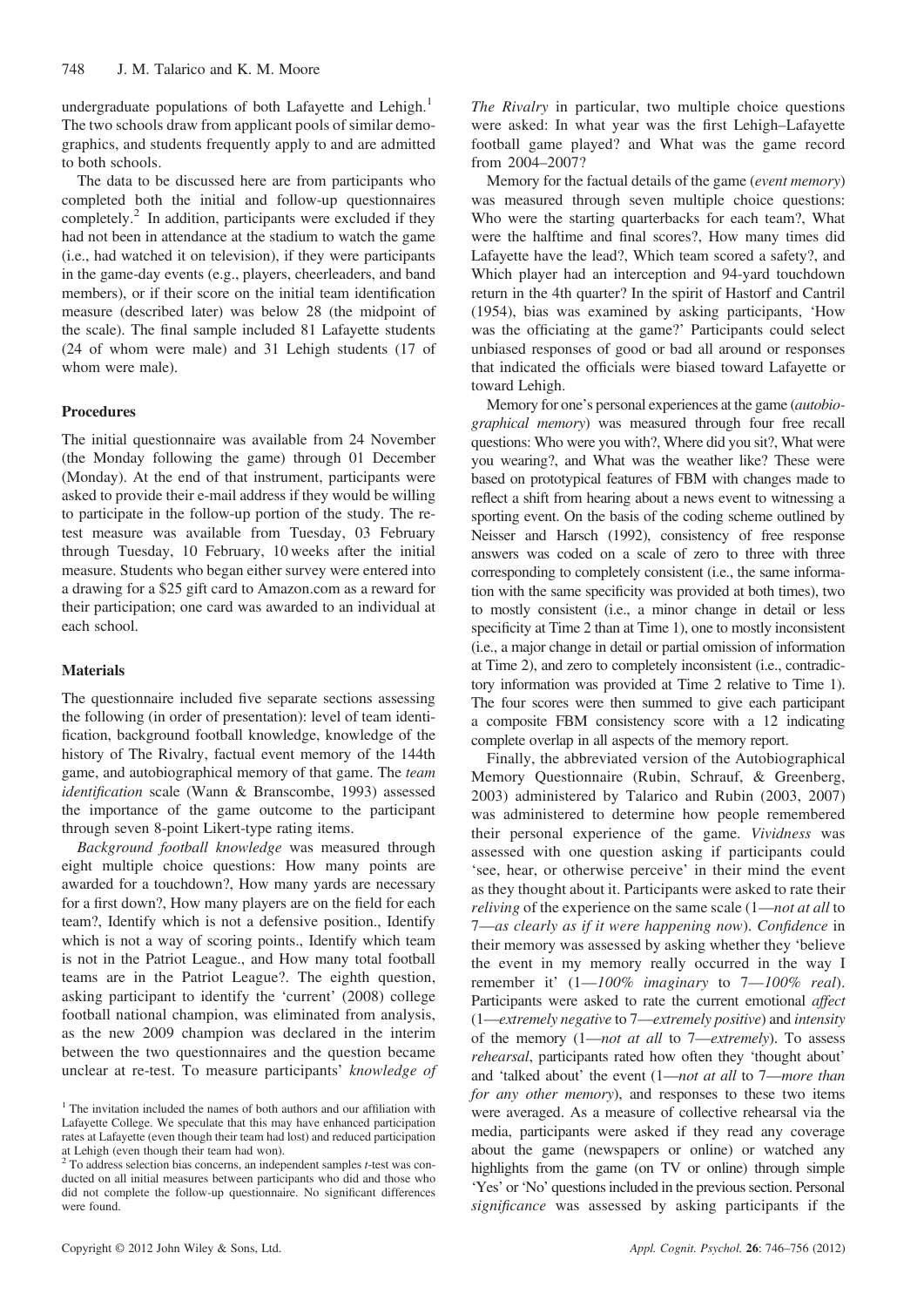undergraduate populations of both Lafayette and Lehigh.<sup>1</sup> The two schools draw from applicant pools of similar demographics, and students frequently apply to and are admitted to both schools.

The data to be discussed here are from participants who completed both the initial and follow-up questionnaires completely.<sup>2</sup> In addition, participants were excluded if they had not been in attendance at the stadium to watch the game (i.e., had watched it on television), if they were participants in the game-day events (e.g., players, cheerleaders, and band members), or if their score on the initial team identification measure (described later) was below 28 (the midpoint of the scale). The final sample included 81 Lafayette students (24 of whom were male) and 31 Lehigh students (17 of whom were male).

# **Procedures**

The initial questionnaire was available from 24 November (the Monday following the game) through 01 December (Monday). At the end of that instrument, participants were asked to provide their e-mail address if they would be willing to participate in the follow-up portion of the study. The retest measure was available from Tuesday, 03 February through Tuesday, 10 February, 10 weeks after the initial measure. Students who began either survey were entered into a drawing for a \$25 gift card to Amazon.com as a reward for their participation; one card was awarded to an individual at each school.

# **Materials**

The questionnaire included five separate sections assessing the following (in order of presentation): level of team identification, background football knowledge, knowledge of the history of The Rivalry, factual event memory of the 144th game, and autobiographical memory of that game. The team identification scale (Wann & Branscombe, 1993) assessed the importance of the game outcome to the participant through seven 8-point Likert-type rating items.

Background football knowledge was measured through eight multiple choice questions: How many points are awarded for a touchdown?, How many yards are necessary for a first down?, How many players are on the field for each team?, Identify which is not a defensive position., Identify which is not a way of scoring points., Identify which team is not in the Patriot League., and How many total football teams are in the Patriot League?. The eighth question, asking participant to identify the 'current' (2008) college football national champion, was eliminated from analysis, as the new 2009 champion was declared in the interim between the two questionnaires and the question became unclear at re-test. To measure participants' knowledge of The Rivalry in particular, two multiple choice questions were asked: In what year was the first Lehigh–Lafayette football game played? and What was the game record from 2004–2007?

Memory for the factual details of the game (event memory) was measured through seven multiple choice questions: Who were the starting quarterbacks for each team?, What were the halftime and final scores?, How many times did Lafayette have the lead?, Which team scored a safety?, and Which player had an interception and 94-yard touchdown return in the 4th quarter? In the spirit of Hastorf and Cantril (1954), bias was examined by asking participants, 'How was the officiating at the game?' Participants could select unbiased responses of good or bad all around or responses that indicated the officials were biased toward Lafayette or toward Lehigh.

Memory for one's personal experiences at the game (autobiographical memory) was measured through four free recall questions: Who were you with?, Where did you sit?, What were you wearing?, and What was the weather like? These were based on prototypical features of FBM with changes made to reflect a shift from hearing about a news event to witnessing a sporting event. On the basis of the coding scheme outlined by Neisser and Harsch (1992), consistency of free response answers was coded on a scale of zero to three with three corresponding to completely consistent (i.e., the same information with the same specificity was provided at both times), two to mostly consistent (i.e., a minor change in detail or less specificity at Time 2 than at Time 1), one to mostly inconsistent (i.e., a major change in detail or partial omission of information at Time 2), and zero to completely inconsistent (i.e., contradictory information was provided at Time 2 relative to Time 1). The four scores were then summed to give each participant a composite FBM consistency score with a 12 indicating complete overlap in all aspects of the memory report.

Finally, the abbreviated version of the Autobiographical Memory Questionnaire (Rubin, Schrauf, & Greenberg, 2003) administered by Talarico and Rubin (2003, 2007) was administered to determine how people remembered their personal experience of the game. Vividness was assessed with one question asking if participants could 'see, hear, or otherwise perceive' in their mind the event as they thought about it. Participants were asked to rate their reliving of the experience on the same scale (1—not at all to 7—as clearly as if it were happening now). Confidence in their memory was assessed by asking whether they 'believe the event in my memory really occurred in the way I remember it'  $(1 - 100\%$  imaginary to  $7 - 100\%$  real). Participants were asked to rate the current emotional affect (1—extremely negative to 7—extremely positive) and intensity of the memory (1—not at all to 7—extremely). To assess rehearsal, participants rated how often they 'thought about' and 'talked about' the event (1—not at all to 7—more than for any other memory), and responses to these two items were averaged. As a measure of collective rehearsal via the media, participants were asked if they read any coverage about the game (newspapers or online) or watched any highlights from the game (on TV or online) through simple 'Yes' or 'No' questions included in the previous section. Personal significance was assessed by asking participants if the

<sup>&</sup>lt;sup>1</sup> The invitation included the names of both authors and our affiliation with Lafayette College. We speculate that this may have enhanced participation rates at Lafayette (even though their team had lost) and reduced participation at Lehigh (even though their team had won).

<sup>&</sup>lt;sup>2</sup> To address selection bias concerns, an independent samples *t*-test was conducted on all initial measures between participants who did and those who did not complete the follow-up questionnaire. No significant differences were found.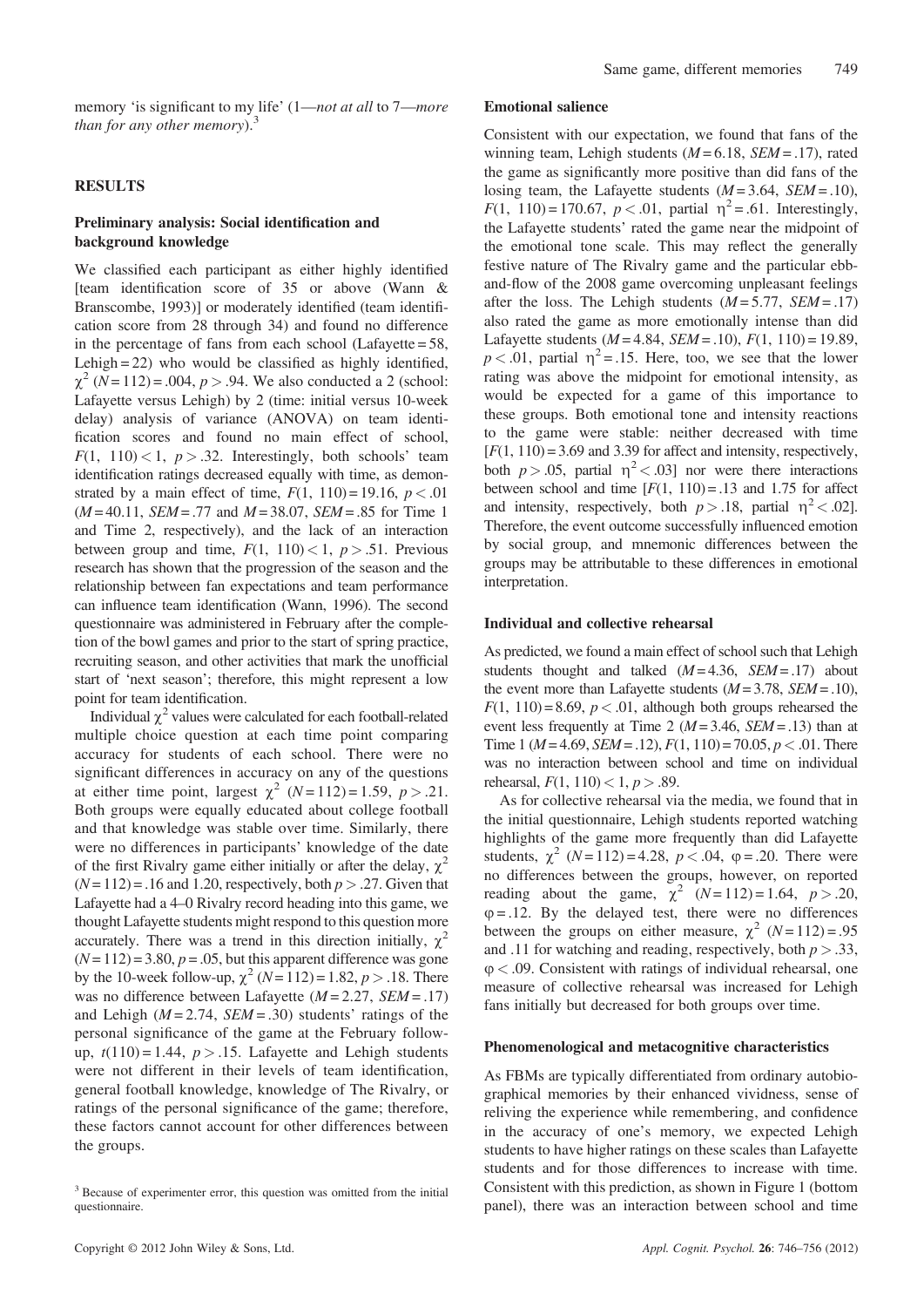memory 'is significant to my life' (1—*not at all* to 7—*more* than for any other memory).<sup>3</sup>

### **RESULTS**

# Preliminary analysis: Social identification and background knowledge

We classified each participant as either highly identified [team identification score of 35 or above (Wann & Branscombe, 1993)] or moderately identified (team identification score from 28 through 34) and found no difference in the percentage of fans from each school (Lafayette = 58, Lehigh  $= 22$ ) who would be classified as highly identified,  $\chi^2$  (N = 112) = .004, p > .94. We also conducted a 2 (school: Lafayette versus Lehigh) by 2 (time: initial versus 10-week delay) analysis of variance (ANOVA) on team identification scores and found no main effect of school,  $F(1, 110) < 1, p > .32$ . Interestingly, both schools' team identification ratings decreased equally with time, as demonstrated by a main effect of time,  $F(1, 110) = 19.16$ ,  $p < .01$  $(M = 40.11, SEM = .77$  and  $M = 38.07, SEM = .85$  for Time 1 and Time 2, respectively), and the lack of an interaction between group and time,  $F(1, 110) < 1$ ,  $p > .51$ . Previous research has shown that the progression of the season and the relationship between fan expectations and team performance can influence team identification (Wann, 1996). The second questionnaire was administered in February after the completion of the bowl games and prior to the start of spring practice, recruiting season, and other activities that mark the unofficial start of 'next season'; therefore, this might represent a low point for team identification.

Individual  $\chi^2$  values were calculated for each football-related multiple choice question at each time point comparing accuracy for students of each school. There were no significant differences in accuracy on any of the questions at either time point, largest  $\chi^2$  (N = 112) = 1.59, p > .21. Both groups were equally educated about college football and that knowledge was stable over time. Similarly, there were no differences in participants' knowledge of the date of the first Rivalry game either initially or after the delay,  $\chi^2$  $(N= 112) = .16$  and 1.20, respectively, both  $p > .27$ . Given that Lafayette had a 4–0 Rivalry record heading into this game, we thought Lafayette students might respond to this question more accurately. There was a trend in this direction initially,  $\chi^2$  $(N= 112) = 3.80, p = .05$ , but this apparent difference was gone by the 10-week follow-up,  $\chi^2$  (N = 112) = 1.82, p > .18. There was no difference between Lafayette  $(M = 2.27, SEM = .17)$ and Lehigh  $(M=2.74, SEM=.30)$  students' ratings of the personal significance of the game at the February followup,  $t(110) = 1.44$ ,  $p > 0.15$ . Lafayette and Lehigh students were not different in their levels of team identification, general football knowledge, knowledge of The Rivalry, or ratings of the personal significance of the game; therefore, these factors cannot account for other differences between the groups.

#### Emotional salience

Consistent with our expectation, we found that fans of the winning team, Lehigh students  $(M = 6.18, SEM = .17)$ , rated the game as significantly more positive than did fans of the losing team, the Lafayette students  $(M = 3.64, SEM = .10)$ ,  $F(1, 110) = 170.67, p < .01$ , partial  $\eta^2 = .61$ . Interestingly, the Lafayette students' rated the game near the midpoint of the emotional tone scale. This may reflect the generally festive nature of The Rivalry game and the particular ebband-flow of the 2008 game overcoming unpleasant feelings after the loss. The Lehigh students  $(M = 5.77, SEM = .17)$ also rated the game as more emotionally intense than did Lafayette students ( $M = 4.84$ ,  $SEM = .10$ ),  $F(1, 110) = 19.89$ ,  $p < .01$ , partial  $\eta^2 = .15$ . Here, too, we see that the lower rating was above the midpoint for emotional intensity, as would be expected for a game of this importance to these groups. Both emotional tone and intensity reactions to the game were stable: neither decreased with time  $[F(1, 110) = 3.69$  and 3.39 for affect and intensity, respectively, both  $p > .05$ , partial  $\eta^2 < .03$ ] nor were there interactions between school and time  $[F(1, 110)=.13$  and 1.75 for affect and intensity, respectively, both  $p > .18$ , partial  $\eta^2 < .02$ . Therefore, the event outcome successfully influenced emotion by social group, and mnemonic differences between the groups may be attributable to these differences in emotional interpretation.

#### Individual and collective rehearsal

As predicted, we found a main effect of school such that Lehigh students thought and talked  $(M=4.36, SEM=.17)$  about the event more than Lafayette students  $(M=3.78, SEM=.10)$ ,  $F(1, 110) = 8.69$ ,  $p < .01$ , although both groups rehearsed the event less frequently at Time 2 ( $M = 3.46$ ,  $SEM = .13$ ) than at Time 1 ( $M = 4.69$ ,  $SEM = .12$ ),  $F(1, 110) = 70.05$ ,  $p < .01$ . There was no interaction between school and time on individual rehearsal,  $F(1, 110) < 1, p > .89$ .

As for collective rehearsal via the media, we found that in the initial questionnaire, Lehigh students reported watching highlights of the game more frequently than did Lafayette students,  $\chi^2$  (N = 112) = 4.28, p < .04,  $\varphi$  = .20. There were no differences between the groups, however, on reported reading about the game,  $\chi^2$  (N = 112) = 1.64, p > .20,  $\varphi = 0.12$ . By the delayed test, there were no differences between the groups on either measure,  $\chi^2$  (N = 112) = .95 and .11 for watching and reading, respectively, both  $p > .33$ ,  $\varphi$  < .09. Consistent with ratings of individual rehearsal, one measure of collective rehearsal was increased for Lehigh fans initially but decreased for both groups over time.

#### Phenomenological and metacognitive characteristics

As FBMs are typically differentiated from ordinary autobiographical memories by their enhanced vividness, sense of reliving the experience while remembering, and confidence in the accuracy of one's memory, we expected Lehigh students to have higher ratings on these scales than Lafayette students and for those differences to increase with time. Consistent with this prediction, as shown in Figure 1 (bottom panel), there was an interaction between school and time

<sup>&</sup>lt;sup>3</sup> Because of experimenter error, this question was omitted from the initial questionnaire.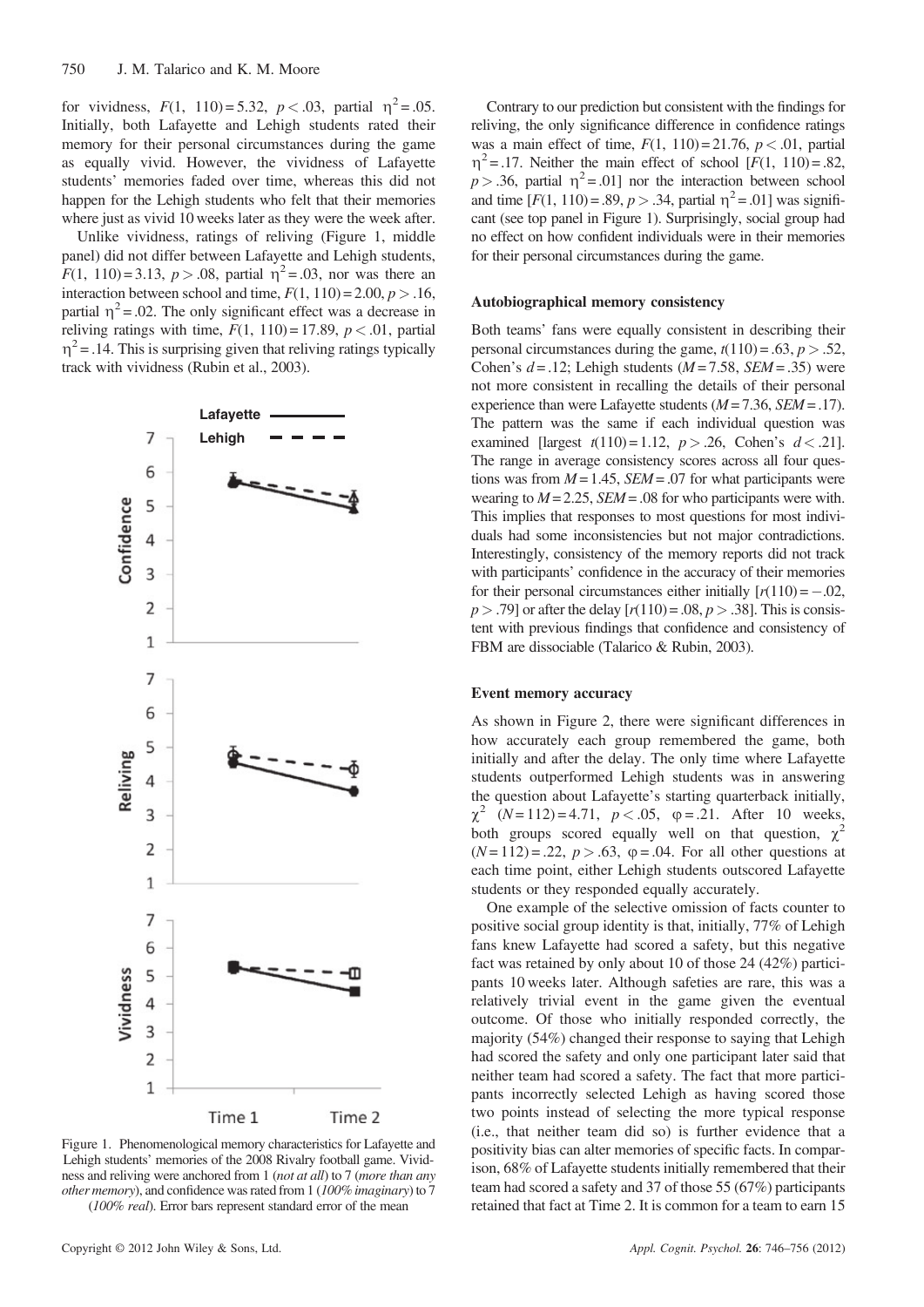for vividness,  $F(1, 110) = 5.32$ ,  $p < .03$ , partial  $\eta^2 = .05$ . Initially, both Lafayette and Lehigh students rated their memory for their personal circumstances during the game as equally vivid. However, the vividness of Lafayette students' memories faded over time, whereas this did not happen for the Lehigh students who felt that their memories where just as vivid 10 weeks later as they were the week after.

Unlike vividness, ratings of reliving (Figure 1, middle panel) did not differ between Lafayette and Lehigh students,  $F(1, 110) = 3.13, p > .08$ , partial  $\eta^2 = .03$ , nor was there an interaction between school and time,  $F(1, 110) = 2.00, p > .16$ , partial  $\eta^2$  = .02. The only significant effect was a decrease in reliving ratings with time,  $F(1, 110) = 17.89$ ,  $p < .01$ , partial  $\eta^2$  = .14. This is surprising given that reliving ratings typically track with vividness (Rubin et al., 2003).



Figure 1. Phenomenological memory characteristics for Lafayette and Lehigh students' memories of the 2008 Rivalry football game. Vividness and reliving were anchored from 1 (not at all) to 7 (more than any other memory), and confidence was rated from 1 (100% imaginary) to 7 (100% real). Error bars represent standard error of the mean

Contrary to our prediction but consistent with the findings for reliving, the only significance difference in confidence ratings was a main effect of time,  $F(1, 110) = 21.76$ ,  $p < .01$ , partial  $\eta^2$  = .17. Neither the main effect of school [F(1, 110) = .82,  $p > .36$ , partial  $\eta^2 = .01$ ] nor the interaction between school and time  $[F(1, 110) = .89, p > .34$ , partial  $p^2 = .01$  was significant (see top panel in Figure 1). Surprisingly, social group had no effect on how confident individuals were in their memories for their personal circumstances during the game.

### Autobiographical memory consistency

Both teams' fans were equally consistent in describing their personal circumstances during the game,  $t(110) = .63$ ,  $p > .52$ , Cohen's  $d = .12$ ; Lehigh students  $(M = 7.58, SEM = .35)$  were not more consistent in recalling the details of their personal experience than were Lafayette students  $(M = 7.36, SEM = .17)$ . The pattern was the same if each individual question was examined [largest  $t(110) = 1.12$ ,  $p > .26$ , Cohen's  $d < .21$ ]. The range in average consistency scores across all four questions was from  $M = 1.45$ ,  $SEM = .07$  for what participants were wearing to  $M = 2.25$ ,  $SEM = .08$  for who participants were with. This implies that responses to most questions for most individuals had some inconsistencies but not major contradictions. Interestingly, consistency of the memory reports did not track with participants' confidence in the accuracy of their memories for their personal circumstances either initially  $[r(110) = -.02]$ ,  $p > .79$ ] or after the delay  $[r(110) = .08, p > .38]$ . This is consistent with previous findings that confidence and consistency of FBM are dissociable (Talarico & Rubin, 2003).

## Event memory accuracy

As shown in Figure 2, there were significant differences in how accurately each group remembered the game, both initially and after the delay. The only time where Lafayette students outperformed Lehigh students was in answering the question about Lafayette's starting quarterback initially,  $\chi^2$  (N = 112) = 4.71,  $p < .05$ ,  $\varphi = .21$ . After 10 weeks, both groups scored equally well on that question,  $\chi^2$  $(N = 112) = .22$ ,  $p > .63$ ,  $\varphi = .04$ . For all other questions at each time point, either Lehigh students outscored Lafayette students or they responded equally accurately.

One example of the selective omission of facts counter to positive social group identity is that, initially, 77% of Lehigh fans knew Lafayette had scored a safety, but this negative fact was retained by only about 10 of those 24 (42%) participants 10 weeks later. Although safeties are rare, this was a relatively trivial event in the game given the eventual outcome. Of those who initially responded correctly, the majority (54%) changed their response to saying that Lehigh had scored the safety and only one participant later said that neither team had scored a safety. The fact that more participants incorrectly selected Lehigh as having scored those two points instead of selecting the more typical response (i.e., that neither team did so) is further evidence that a positivity bias can alter memories of specific facts. In comparison, 68% of Lafayette students initially remembered that their team had scored a safety and 37 of those 55 (67%) participants retained that fact at Time 2. It is common for a team to earn 15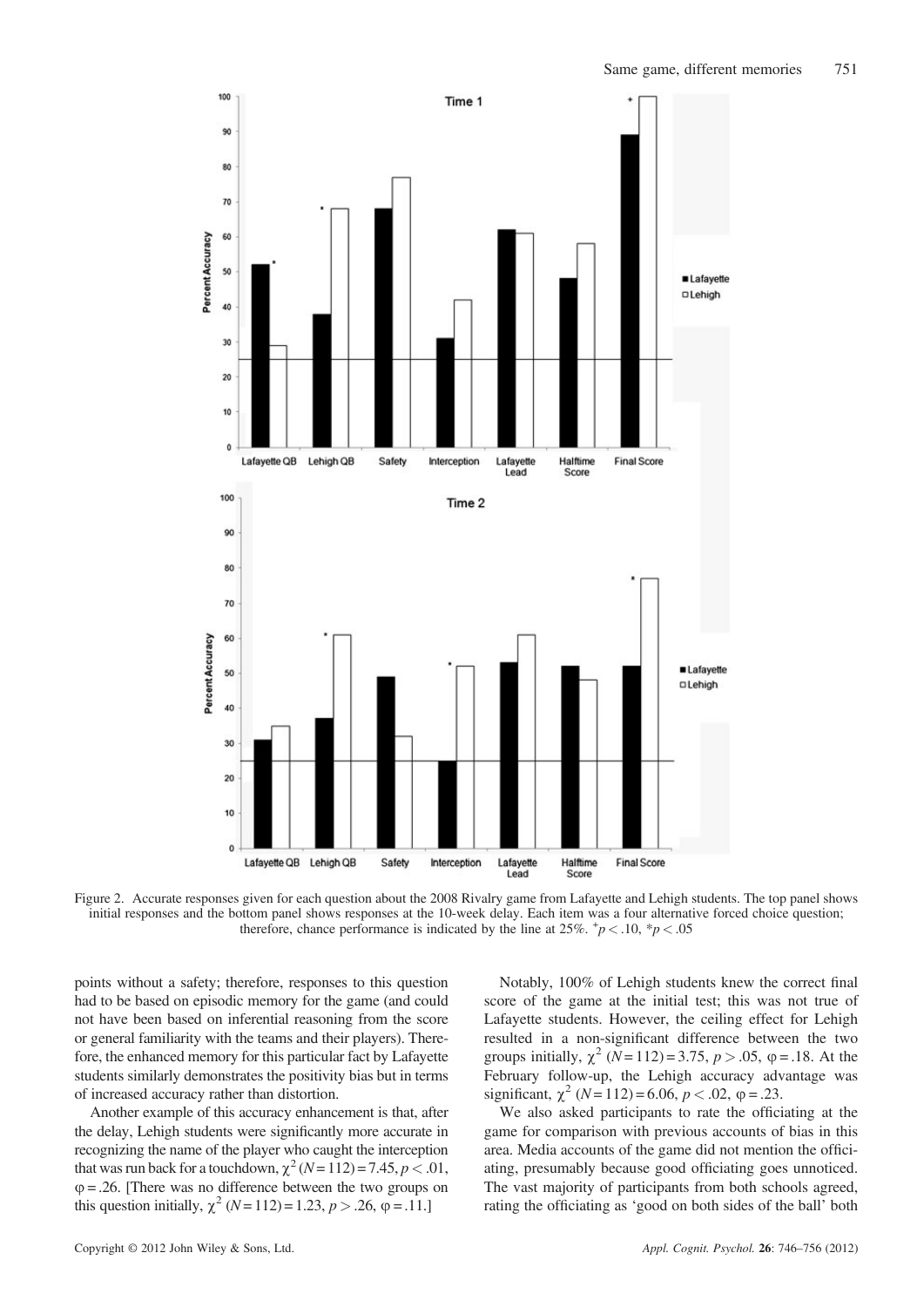

Figure 2. Accurate responses given for each question about the 2008 Rivalry game from Lafayette and Lehigh students. The top panel shows initial responses and the bottom panel shows responses at the 10-week delay. Each item was a four alternative forced choice question; therefore, chance performance is indicated by the line at 25%.  $p < 0.10$ ,  $p < 0.05$ 

points without a safety; therefore, responses to this question had to be based on episodic memory for the game (and could not have been based on inferential reasoning from the score or general familiarity with the teams and their players). Therefore, the enhanced memory for this particular fact by Lafayette students similarly demonstrates the positivity bias but in terms of increased accuracy rather than distortion.

Another example of this accuracy enhancement is that, after the delay, Lehigh students were significantly more accurate in recognizing the name of the player who caught the interception that was run back for a touchdown,  $\chi^2$  (N = 112) = 7.45, p < .01,  $\varphi = 0.26$ . [There was no difference between the two groups on this question initially,  $\chi^2$  (N = 112) = 1.23, p > .26,  $\varphi$  = .11.]

Notably, 100% of Lehigh students knew the correct final score of the game at the initial test; this was not true of Lafayette students. However, the ceiling effect for Lehigh resulted in a non-significant difference between the two groups initially,  $\chi^2$  (N = 112) = 3.75, p > .05,  $\varphi$  = .18. At the February follow-up, the Lehigh accuracy advantage was significant,  $\chi^2$  (N = 112) = 6.06, p < .02,  $\varphi$  = .23.

We also asked participants to rate the officiating at the game for comparison with previous accounts of bias in this area. Media accounts of the game did not mention the officiating, presumably because good officiating goes unnoticed. The vast majority of participants from both schools agreed, rating the officiating as 'good on both sides of the ball' both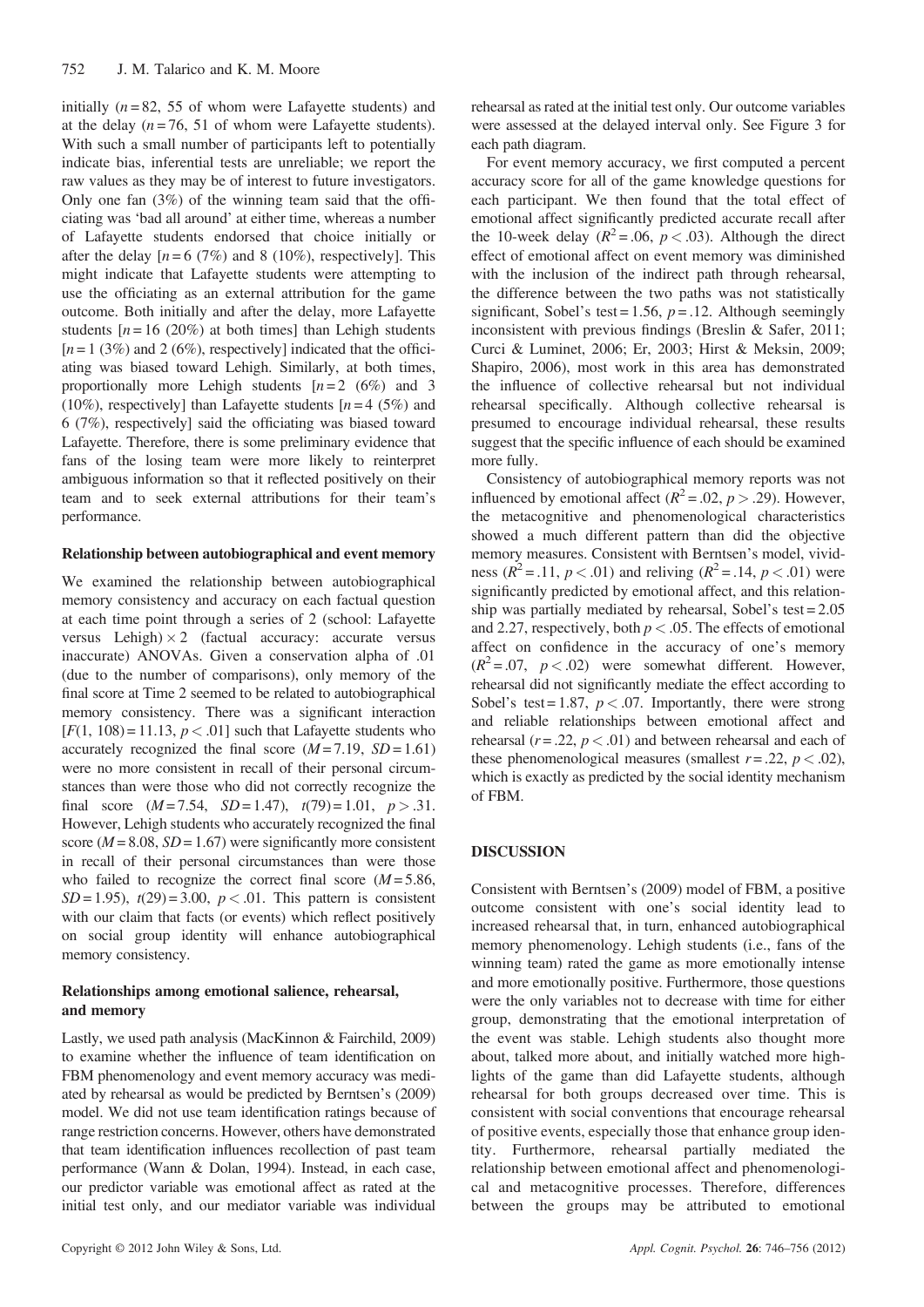initially  $(n = 82, 55$  of whom were Lafayette students) and at the delay  $(n = 76, 51$  of whom were Lafayette students). With such a small number of participants left to potentially indicate bias, inferential tests are unreliable; we report the raw values as they may be of interest to future investigators. Only one fan  $(3\%)$  of the winning team said that the officiating was 'bad all around' at either time, whereas a number of Lafayette students endorsed that choice initially or after the delay  $[n=6 (7\%)$  and 8 (10%), respectively]. This might indicate that Lafayette students were attempting to use the officiating as an external attribution for the game outcome. Both initially and after the delay, more Lafayette students  $[n = 16 (20\%)$  at both times] than Lehigh students  $[n=1 (3\%)$  and 2 (6%), respectively] indicated that the officiating was biased toward Lehigh. Similarly, at both times, proportionally more Lehigh students  $[n=2 \ (6\%)$  and 3 (10%), respectively] than Lafayette students  $[n=4 \ (5\%)$  and 6 (7%), respectively] said the officiating was biased toward Lafayette. Therefore, there is some preliminary evidence that fans of the losing team were more likely to reinterpret ambiguous information so that it reflected positively on their team and to seek external attributions for their team's performance.

# Relationship between autobiographical and event memory

We examined the relationship between autobiographical memory consistency and accuracy on each factual question at each time point through a series of 2 (school: Lafayette versus Lehigh)  $\times$  2 (factual accuracy: accurate versus inaccurate) ANOVAs. Given a conservation alpha of .01 (due to the number of comparisons), only memory of the final score at Time 2 seemed to be related to autobiographical memory consistency. There was a significant interaction  $[F(1, 108) = 11.13, p < .01]$  such that Lafayette students who accurately recognized the final score  $(M = 7.19, SD = 1.61)$ were no more consistent in recall of their personal circumstances than were those who did not correctly recognize the final score  $(M=7.54, SD=1.47), t(79)=1.01, p>0.31.$ However, Lehigh students who accurately recognized the final score ( $M = 8.08$ ,  $SD = 1.67$ ) were significantly more consistent in recall of their personal circumstances than were those who failed to recognize the correct final score  $(M = 5.86$ ,  $SD = 1.95$ ,  $t(29) = 3.00$ ,  $p < .01$ . This pattern is consistent with our claim that facts (or events) which reflect positively on social group identity will enhance autobiographical memory consistency.

# Relationships among emotional salience, rehearsal, and memory

Lastly, we used path analysis (MacKinnon & Fairchild, 2009) to examine whether the influence of team identification on FBM phenomenology and event memory accuracy was mediated by rehearsal as would be predicted by Berntsen's (2009) model. We did not use team identification ratings because of range restriction concerns. However, others have demonstrated that team identification influences recollection of past team performance (Wann & Dolan, 1994). Instead, in each case, our predictor variable was emotional affect as rated at the initial test only, and our mediator variable was individual

rehearsal as rated at the initial test only. Our outcome variables were assessed at the delayed interval only. See Figure 3 for each path diagram.

For event memory accuracy, we first computed a percent accuracy score for all of the game knowledge questions for each participant. We then found that the total effect of emotional affect significantly predicted accurate recall after the 10-week delay ( $R^2 = .06$ ,  $p < .03$ ). Although the direct effect of emotional affect on event memory was diminished with the inclusion of the indirect path through rehearsal, the difference between the two paths was not statistically significant, Sobel's test = 1.56,  $p = .12$ . Although seemingly inconsistent with previous findings (Breslin & Safer, 2011; Curci & Luminet, 2006; Er, 2003; Hirst & Meksin, 2009; Shapiro, 2006), most work in this area has demonstrated the influence of collective rehearsal but not individual rehearsal specifically. Although collective rehearsal is presumed to encourage individual rehearsal, these results suggest that the specific influence of each should be examined more fully.

Consistency of autobiographical memory reports was not influenced by emotional affect ( $R^2 = .02$ ,  $p > .29$ ). However, the metacognitive and phenomenological characteristics showed a much different pattern than did the objective memory measures. Consistent with Berntsen's model, vividness ( $R^2 = .11$ ,  $p < .01$ ) and reliving ( $R^2 = .14$ ,  $p < .01$ ) were significantly predicted by emotional affect, and this relationship was partially mediated by rehearsal, Sobel's test  $= 2.05$ and 2.27, respectively, both  $p < .05$ . The effects of emotional affect on confidence in the accuracy of one's memory  $(R^2 = .07, p < .02)$  were somewhat different. However, rehearsal did not significantly mediate the effect according to Sobel's test = 1.87,  $p < .07$ . Importantly, there were strong and reliable relationships between emotional affect and rehearsal ( $r = 0.22$ ,  $p < 0.01$ ) and between rehearsal and each of these phenomenological measures (smallest  $r = .22$ ,  $p < .02$ ), which is exactly as predicted by the social identity mechanism of FBM.

#### **DISCUSSION**

Consistent with Berntsen's (2009) model of FBM, a positive outcome consistent with one's social identity lead to increased rehearsal that, in turn, enhanced autobiographical memory phenomenology. Lehigh students (i.e., fans of the winning team) rated the game as more emotionally intense and more emotionally positive. Furthermore, those questions were the only variables not to decrease with time for either group, demonstrating that the emotional interpretation of the event was stable. Lehigh students also thought more about, talked more about, and initially watched more highlights of the game than did Lafayette students, although rehearsal for both groups decreased over time. This is consistent with social conventions that encourage rehearsal of positive events, especially those that enhance group identity. Furthermore, rehearsal partially mediated the relationship between emotional affect and phenomenological and metacognitive processes. Therefore, differences between the groups may be attributed to emotional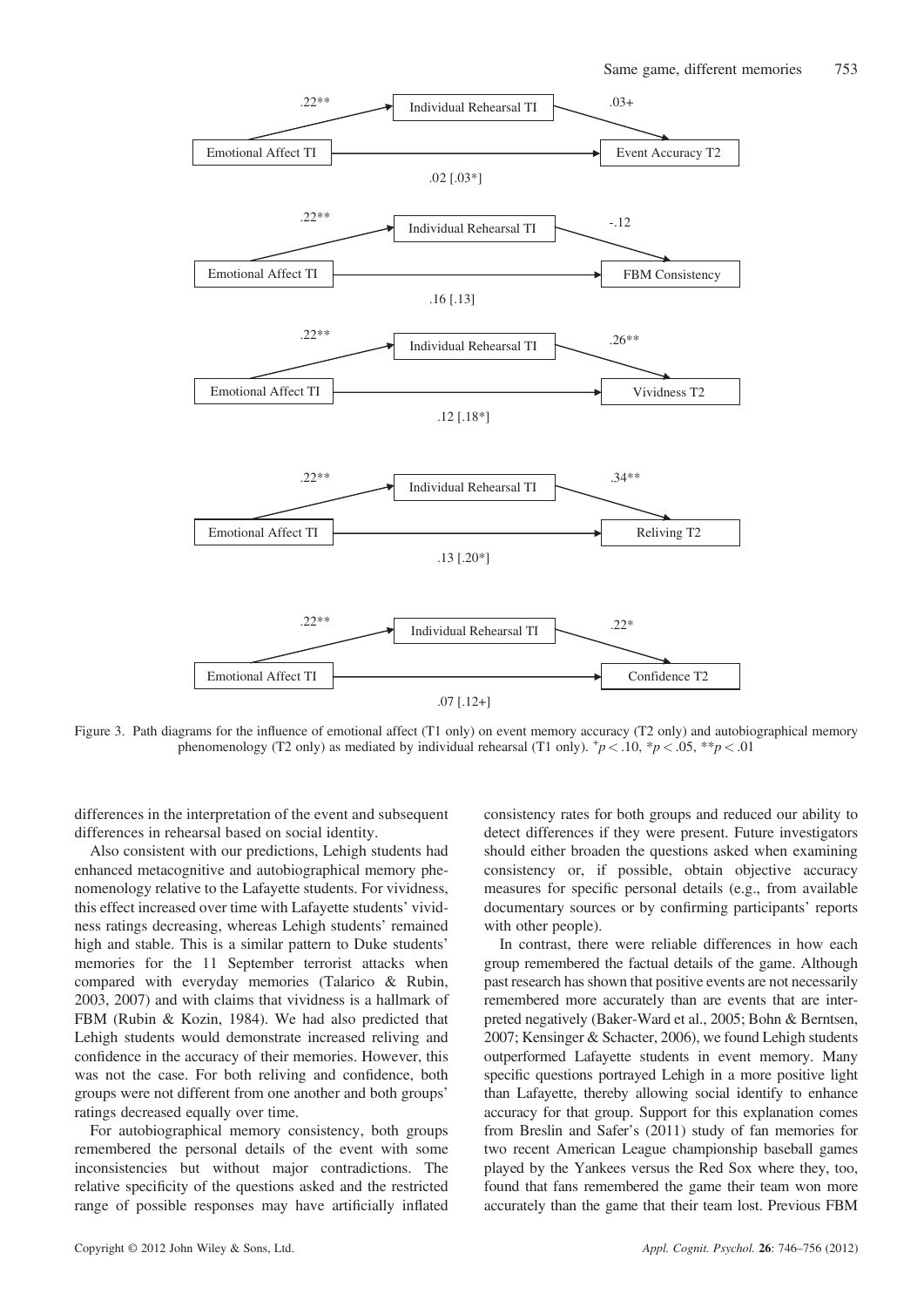

Figure 3. Path diagrams for the influence of emotional affect (T1 only) on event memory accuracy (T2 only) and autobiographical memory phenomenology (T2 only) as mediated by individual rehearsal (T1 only).  $p < 10$ ,  $p < 0.05$ ,  $* p < 0.01$ 

differences in the interpretation of the event and subsequent differences in rehearsal based on social identity.

Also consistent with our predictions, Lehigh students had enhanced metacognitive and autobiographical memory phenomenology relative to the Lafayette students. For vividness, this effect increased over time with Lafayette students' vividness ratings decreasing, whereas Lehigh students' remained high and stable. This is a similar pattern to Duke students' memories for the 11 September terrorist attacks when compared with everyday memories (Talarico & Rubin, 2003, 2007) and with claims that vividness is a hallmark of FBM (Rubin & Kozin, 1984). We had also predicted that Lehigh students would demonstrate increased reliving and confidence in the accuracy of their memories. However, this was not the case. For both reliving and confidence, both groups were not different from one another and both groups' ratings decreased equally over time.

For autobiographical memory consistency, both groups remembered the personal details of the event with some inconsistencies but without major contradictions. The relative specificity of the questions asked and the restricted range of possible responses may have artificially inflated consistency rates for both groups and reduced our ability to detect differences if they were present. Future investigators should either broaden the questions asked when examining consistency or, if possible, obtain objective accuracy measures for specific personal details (e.g., from available documentary sources or by confirming participants' reports with other people).

In contrast, there were reliable differences in how each group remembered the factual details of the game. Although past research has shown that positive events are not necessarily remembered more accurately than are events that are interpreted negatively (Baker-Ward et al., 2005; Bohn & Berntsen, 2007; Kensinger & Schacter, 2006), we found Lehigh students outperformed Lafayette students in event memory. Many specific questions portrayed Lehigh in a more positive light than Lafayette, thereby allowing social identify to enhance accuracy for that group. Support for this explanation comes from Breslin and Safer's (2011) study of fan memories for two recent American League championship baseball games played by the Yankees versus the Red Sox where they, too, found that fans remembered the game their team won more accurately than the game that their team lost. Previous FBM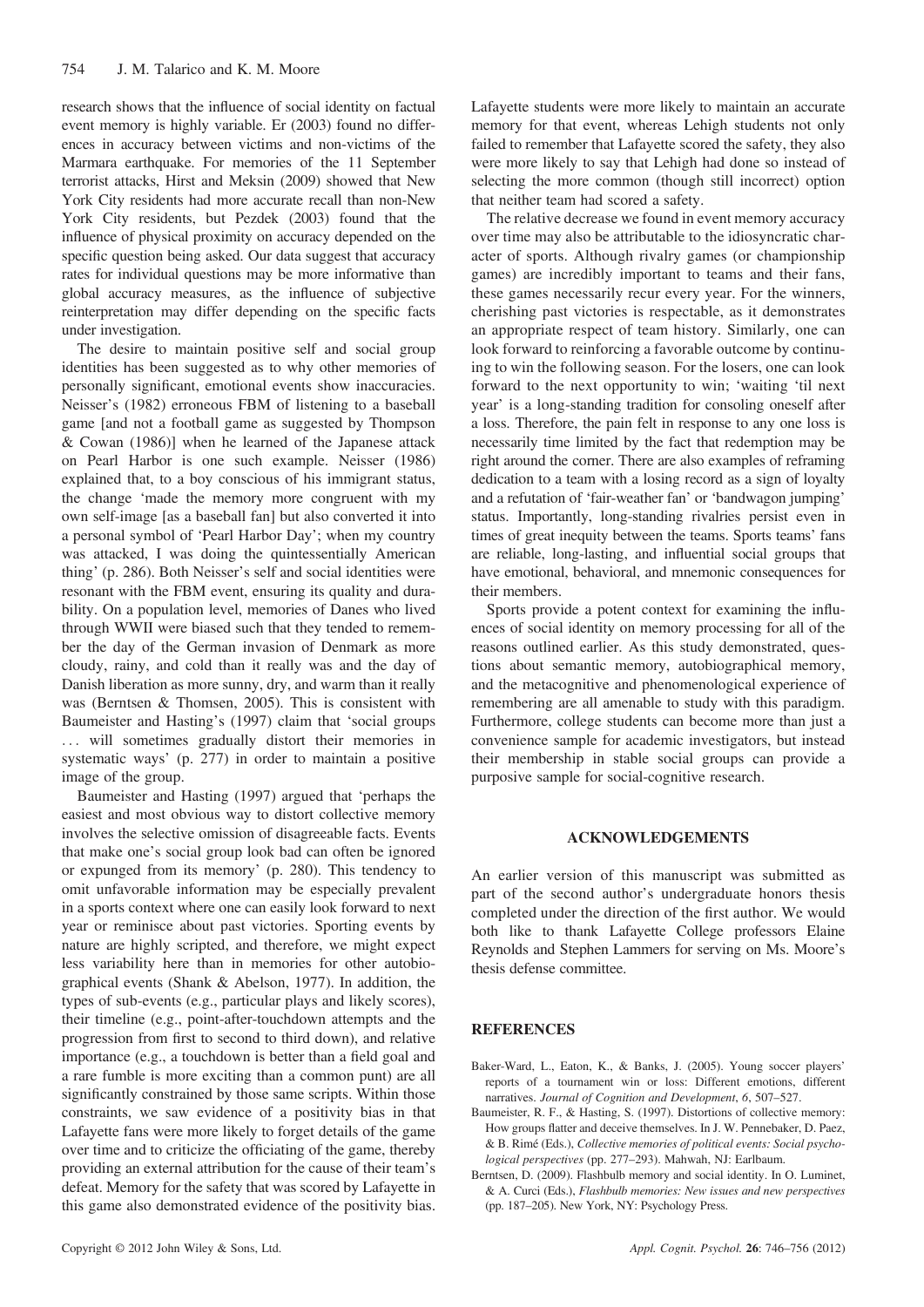research shows that the influence of social identity on factual event memory is highly variable. Er (2003) found no differences in accuracy between victims and non-victims of the Marmara earthquake. For memories of the 11 September terrorist attacks, Hirst and Meksin (2009) showed that New York City residents had more accurate recall than non-New York City residents, but Pezdek (2003) found that the influence of physical proximity on accuracy depended on the specific question being asked. Our data suggest that accuracy rates for individual questions may be more informative than global accuracy measures, as the influence of subjective reinterpretation may differ depending on the specific facts under investigation.

The desire to maintain positive self and social group identities has been suggested as to why other memories of personally significant, emotional events show inaccuracies. Neisser's (1982) erroneous FBM of listening to a baseball game [and not a football game as suggested by Thompson & Cowan (1986)] when he learned of the Japanese attack on Pearl Harbor is one such example. Neisser (1986) explained that, to a boy conscious of his immigrant status, the change 'made the memory more congruent with my own self-image [as a baseball fan] but also converted it into a personal symbol of 'Pearl Harbor Day'; when my country was attacked, I was doing the quintessentially American thing' (p. 286). Both Neisser's self and social identities were resonant with the FBM event, ensuring its quality and durability. On a population level, memories of Danes who lived through WWII were biased such that they tended to remember the day of the German invasion of Denmark as more cloudy, rainy, and cold than it really was and the day of Danish liberation as more sunny, dry, and warm than it really was (Berntsen & Thomsen, 2005). This is consistent with Baumeister and Hasting's (1997) claim that 'social groups ... will sometimes gradually distort their memories in systematic ways' (p. 277) in order to maintain a positive image of the group.

Baumeister and Hasting (1997) argued that 'perhaps the easiest and most obvious way to distort collective memory involves the selective omission of disagreeable facts. Events that make one's social group look bad can often be ignored or expunged from its memory' (p. 280). This tendency to omit unfavorable information may be especially prevalent in a sports context where one can easily look forward to next year or reminisce about past victories. Sporting events by nature are highly scripted, and therefore, we might expect less variability here than in memories for other autobiographical events (Shank & Abelson, 1977). In addition, the types of sub-events (e.g., particular plays and likely scores), their timeline (e.g., point-after-touchdown attempts and the progression from first to second to third down), and relative importance (e.g., a touchdown is better than a field goal and a rare fumble is more exciting than a common punt) are all significantly constrained by those same scripts. Within those constraints, we saw evidence of a positivity bias in that Lafayette fans were more likely to forget details of the game over time and to criticize the officiating of the game, thereby providing an external attribution for the cause of their team's defeat. Memory for the safety that was scored by Lafayette in this game also demonstrated evidence of the positivity bias.

Lafayette students were more likely to maintain an accurate memory for that event, whereas Lehigh students not only failed to remember that Lafayette scored the safety, they also were more likely to say that Lehigh had done so instead of selecting the more common (though still incorrect) option that neither team had scored a safety.

The relative decrease we found in event memory accuracy over time may also be attributable to the idiosyncratic character of sports. Although rivalry games (or championship games) are incredibly important to teams and their fans, these games necessarily recur every year. For the winners, cherishing past victories is respectable, as it demonstrates an appropriate respect of team history. Similarly, one can look forward to reinforcing a favorable outcome by continuing to win the following season. For the losers, one can look forward to the next opportunity to win; 'waiting 'til next year' is a long-standing tradition for consoling oneself after a loss. Therefore, the pain felt in response to any one loss is necessarily time limited by the fact that redemption may be right around the corner. There are also examples of reframing dedication to a team with a losing record as a sign of loyalty and a refutation of 'fair-weather fan' or 'bandwagon jumping' status. Importantly, long-standing rivalries persist even in times of great inequity between the teams. Sports teams' fans are reliable, long-lasting, and influential social groups that have emotional, behavioral, and mnemonic consequences for their members.

Sports provide a potent context for examining the influences of social identity on memory processing for all of the reasons outlined earlier. As this study demonstrated, questions about semantic memory, autobiographical memory, and the metacognitive and phenomenological experience of remembering are all amenable to study with this paradigm. Furthermore, college students can become more than just a convenience sample for academic investigators, but instead their membership in stable social groups can provide a purposive sample for social-cognitive research.

#### ACKNOWLEDGEMENTS

An earlier version of this manuscript was submitted as part of the second author's undergraduate honors thesis completed under the direction of the first author. We would both like to thank Lafayette College professors Elaine Reynolds and Stephen Lammers for serving on Ms. Moore's thesis defense committee.

# **REFERENCES**

- Baker-Ward, L., Eaton, K., & Banks, J. (2005). Young soccer players' reports of a tournament win or loss: Different emotions, different narratives. Journal of Cognition and Development, 6, 507–527.
- Baumeister, R. F., & Hasting, S. (1997). Distortions of collective memory: How groups flatter and deceive themselves. In J. W. Pennebaker, D. Paez, & B. Rimé (Eds.), Collective memories of political events: Social psychological perspectives (pp. 277–293). Mahwah, NJ: Earlbaum.
- Berntsen, D. (2009). Flashbulb memory and social identity. In O. Luminet, & A. Curci (Eds.), Flashbulb memories: New issues and new perspectives (pp. 187–205). New York, NY: Psychology Press.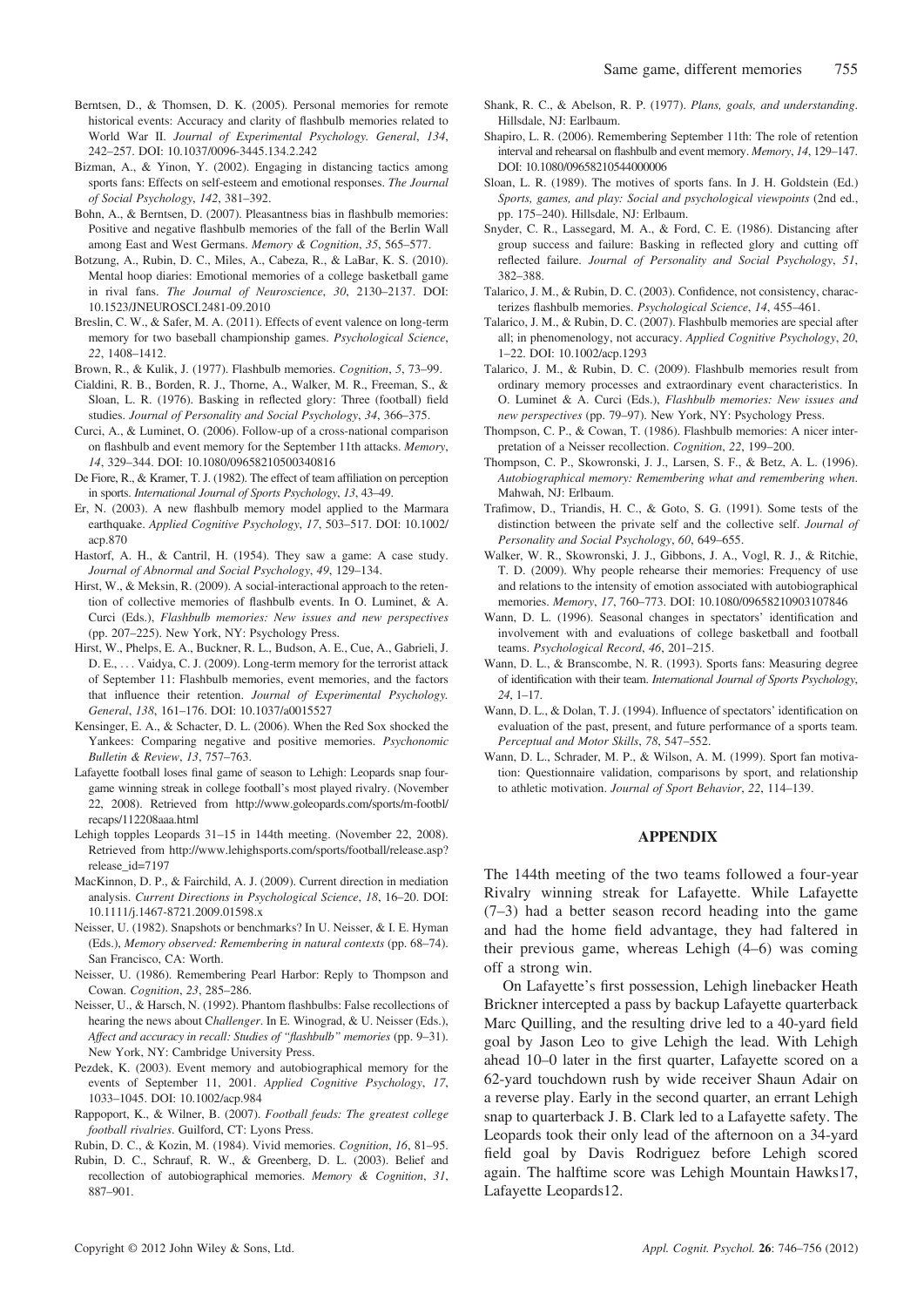- Berntsen, D., & Thomsen, D. K. (2005). Personal memories for remote historical events: Accuracy and clarity of flashbulb memories related to World War II. Journal of Experimental Psychology. General, 134, 242–257. DOI: 10.1037/0096-3445.134.2.242
- Bizman, A., & Yinon, Y. (2002). Engaging in distancing tactics among sports fans: Effects on self-esteem and emotional responses. The Journal of Social Psychology, 142, 381–392.
- Bohn, A., & Berntsen, D. (2007). Pleasantness bias in flashbulb memories: Positive and negative flashbulb memories of the fall of the Berlin Wall among East and West Germans. Memory & Cognition, 35, 565–577.
- Botzung, A., Rubin, D. C., Miles, A., Cabeza, R., & LaBar, K. S. (2010). Mental hoop diaries: Emotional memories of a college basketball game in rival fans. The Journal of Neuroscience, 30, 2130–2137. DOI: 10.1523/JNEUROSCI.2481-09.2010
- Breslin, C. W., & Safer, M. A. (2011). Effects of event valence on long-term memory for two baseball championship games. Psychological Science, 22, 1408–1412.
- Brown, R., & Kulik, J. (1977). Flashbulb memories. Cognition, 5, 73–99.
- Cialdini, R. B., Borden, R. J., Thorne, A., Walker, M. R., Freeman, S., & Sloan, L. R. (1976). Basking in reflected glory: Three (football) field studies. Journal of Personality and Social Psychology, 34, 366–375.
- Curci, A., & Luminet, O. (2006). Follow-up of a cross-national comparison on flashbulb and event memory for the September 11th attacks. Memory, 14, 329–344. DOI: 10.1080/09658210500340816
- De Fiore, R., & Kramer, T. J. (1982). The effect of team affiliation on perception in sports. International Journal of Sports Psychology, 13, 43–49.
- Er, N. (2003). A new flashbulb memory model applied to the Marmara earthquake. Applied Cognitive Psychology, 17, 503–517. DOI: 10.1002/ acp.870
- Hastorf, A. H., & Cantril, H. (1954). They saw a game: A case study. Journal of Abnormal and Social Psychology, 49, 129–134.
- Hirst, W., & Meksin, R. (2009). A social-interactional approach to the retention of collective memories of flashbulb events. In O. Luminet, & A. Curci (Eds.), Flashbulb memories: New issues and new perspectives (pp. 207–225). New York, NY: Psychology Press.
- Hirst, W., Phelps, E. A., Buckner, R. L., Budson, A. E., Cue, A., Gabrieli, J. D. E., ... Vaidya, C. J. (2009). Long-term memory for the terrorist attack of September 11: Flashbulb memories, event memories, and the factors that influence their retention. Journal of Experimental Psychology. General, 138, 161–176. DOI: 10.1037/a0015527
- Kensinger, E. A., & Schacter, D. L. (2006). When the Red Sox shocked the Yankees: Comparing negative and positive memories. Psychonomic Bulletin & Review, 13, 757–763.
- Lafayette football loses final game of season to Lehigh: Leopards snap fourgame winning streak in college football's most played rivalry. (November 22, 2008). Retrieved from http://www.goleopards.com/sports/m-footbl/ recaps/112208aaa.html
- Lehigh topples Leopards 31–15 in 144th meeting. (November 22, 2008). Retrieved from [http://www.lehighsports.com/sports/football/release.asp?](http://www.lehighsports.com/sports/football/release.asp?release_id=7197) [release\\_id=7197](http://www.lehighsports.com/sports/football/release.asp?release_id=7197)
- MacKinnon, D. P., & Fairchild, A. J. (2009). Current direction in mediation analysis. Current Directions in Psychological Science, 18, 16–20. DOI: 10.1111/j.1467-8721.2009.01598.x
- Neisser, U. (1982). Snapshots or benchmarks? In U. Neisser, & I. E. Hyman (Eds.), Memory observed: Remembering in natural contexts (pp. 68–74). San Francisco, CA: Worth.
- Neisser, U. (1986). Remembering Pearl Harbor: Reply to Thompson and Cowan. Cognition, 23, 285–286.
- Neisser, U., & Harsch, N. (1992). Phantom flashbulbs: False recollections of hearing the news about Challenger. In E. Winograd, & U. Neisser (Eds.), Affect and accuracy in recall: Studies of "flashbulb" memories (pp. 9–31). New York, NY: Cambridge University Press.
- Pezdek, K. (2003). Event memory and autobiographical memory for the events of September 11, 2001. Applied Cognitive Psychology, 17, 1033–1045. DOI: 10.1002/acp.984
- Rappoport, K., & Wilner, B. (2007). Football feuds: The greatest college football rivalries. Guilford, CT: Lyons Press.
- Rubin, D. C., & Kozin, M. (1984). Vivid memories. Cognition, 16, 81–95.
- Rubin, D. C., Schrauf, R. W., & Greenberg, D. L. (2003). Belief and recollection of autobiographical memories. Memory & Cognition, 31, 887–901.
- Shank, R. C., & Abelson, R. P. (1977). Plans, goals, and understanding. Hillsdale, NJ: Earlbaum.
- Shapiro, L. R. (2006). Remembering September 11th: The role of retention interval and rehearsal on flashbulb and event memory. Memory, 14, 129–147. DOI: 10.1080/09658210544000006
- Sloan, L. R. (1989). The motives of sports fans. In J. H. Goldstein (Ed.) Sports, games, and play: Social and psychological viewpoints (2nd ed., pp. 175–240). Hillsdale, NJ: Erlbaum.
- Snyder, C. R., Lassegard, M. A., & Ford, C. E. (1986). Distancing after group success and failure: Basking in reflected glory and cutting off reflected failure. Journal of Personality and Social Psychology, 51, 382–388.
- Talarico, J. M., & Rubin, D. C. (2003). Confidence, not consistency, characterizes flashbulb memories. Psychological Science, 14, 455–461.
- Talarico, J. M., & Rubin, D. C. (2007). Flashbulb memories are special after all; in phenomenology, not accuracy. Applied Cognitive Psychology, 20, 1–22. DOI: 10.1002/acp.1293
- Talarico, J. M., & Rubin, D. C. (2009). Flashbulb memories result from ordinary memory processes and extraordinary event characteristics. In O. Luminet & A. Curci (Eds.), Flashbulb memories: New issues and new perspectives (pp. 79–97). New York, NY: Psychology Press.
- Thompson, C. P., & Cowan, T. (1986). Flashbulb memories: A nicer interpretation of a Neisser recollection. Cognition, 22, 199–200.
- Thompson, C. P., Skowronski, J. J., Larsen, S. F., & Betz, A. L. (1996). Autobiographical memory: Remembering what and remembering when. Mahwah, NJ: Erlbaum.
- Trafimow, D., Triandis, H. C., & Goto, S. G. (1991). Some tests of the distinction between the private self and the collective self. Journal of Personality and Social Psychology, 60, 649–655.
- Walker, W. R., Skowronski, J. J., Gibbons, J. A., Vogl, R. J., & Ritchie, T. D. (2009). Why people rehearse their memories: Frequency of use and relations to the intensity of emotion associated with autobiographical memories. Memory, 17, 760–773. DOI: 10.1080/09658210903107846
- Wann, D. L. (1996). Seasonal changes in spectators' identification and involvement with and evaluations of college basketball and football teams. Psychological Record, 46, 201–215.
- Wann, D. L., & Branscombe, N. R. (1993). Sports fans: Measuring degree of identification with their team. International Journal of Sports Psychology, 24, 1–17.
- Wann, D. L., & Dolan, T. J. (1994). Influence of spectators' identification on evaluation of the past, present, and future performance of a sports team. Perceptual and Motor Skills, 78, 547–552.
- Wann, D. L., Schrader, M. P., & Wilson, A. M. (1999). Sport fan motivation: Questionnaire validation, comparisons by sport, and relationship to athletic motivation. Journal of Sport Behavior, 22, 114–139.

# APPENDIX

The 144th meeting of the two teams followed a four-year Rivalry winning streak for Lafayette. While Lafayette (7–3) had a better season record heading into the game and had the home field advantage, they had faltered in their previous game, whereas Lehigh (4–6) was coming off a strong win.

On Lafayette's first possession, Lehigh linebacker Heath Brickner intercepted a pass by backup Lafayette quarterback Marc Quilling, and the resulting drive led to a 40-yard field goal by Jason Leo to give Lehigh the lead. With Lehigh ahead 10–0 later in the first quarter, Lafayette scored on a 62-yard touchdown rush by wide receiver Shaun Adair on a reverse play. Early in the second quarter, an errant Lehigh snap to quarterback J. B. Clark led to a Lafayette safety. The Leopards took their only lead of the afternoon on a 34-yard field goal by Davis Rodriguez before Lehigh scored again. The halftime score was Lehigh Mountain Hawks17, Lafayette Leopards12.